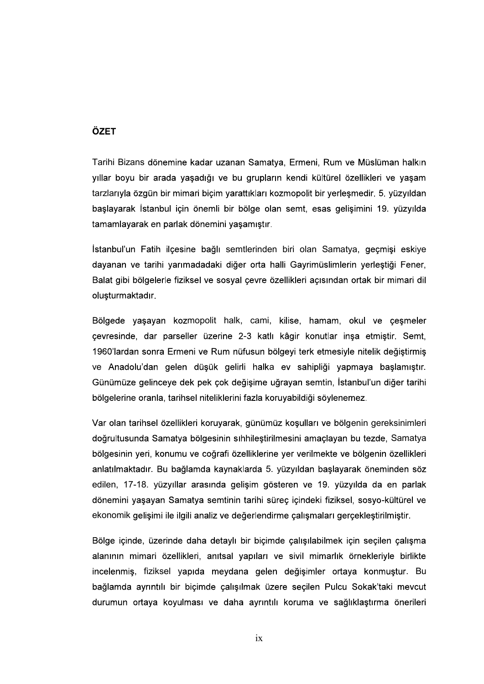## ÖZET

Tarihi Bizans dönemine kadar uzanan Samatya, Ermeni, Rum ve Müslüman halkın yıllar boyu bir arada yaşadığı ve bu grupların kendi kültürel özellikleri ve yaşam tarzlarıyla özgün bir mimari biçim yarattıkları kozmopolit bir yerlesmedir. 5. yüzyıldan başlayarak İstanbul için önemli bir bölge olan semt, esas gelişimini 19. yüzyılda tamamlayarak en parlak dönemini yaşamıştır.

İstanbul'un Fatih ilçesine bağlı semtlerinden biri olan Samatya, geçmişi eskiye dayanan ve tarihi yarımadadaki diğer orta halli Gayrimüslimlerin yerleştiği Fener, Balat gibi bölgelerle fiziksel ve sosyal çevre özellikleri açısından ortak bir mimari dil oluşturmaktadır.

Bölgede yaşayan kozmopolit halk, cami, kilise, hamam, okul ve çeşmeler<br>çevresinde, dar parseller üzerine 2-3 katlı kâgir konutlar insa etmistir. Semt, 1960'lardan sonra Ermeni ve Rum nüfusun bölgeyi terk etmesiyle nitelik değiştirmiş ve Anadolu'dan gelen düşük gelirli halka ev sahipliği yapmaya başlamıştır. Günümüze gelinceye dek pek çok değişime uğrayan semtin, İstanbul'un diğer tarihi bölgelerine oranla, tarihsel niteliklerini fazla koruyabildiği söylenemez.

Var olan tarihsel özellikleri koruyarak, günümüz koşulları ve bölgenin gereksinimleri doğrultusunda Samatya bölgesinin sıhhileştirilmesini amaçlayan bu tezde, Samatya bölgesinin yeri, konumu ve coğrafi özelliklerine yer verilmekte ve bölgenin özellikleri anlatılmaktadır. Bu bağlamda kaynaklarda 5. yüzyıldan başlayarak öneminden söz edilen, 17-18. yüzyıllar arasında gelişim gösteren ve 19. yüzyılda da en parlak dönemini yaşayan Samatya semtinin tarihi süreç içindeki fiziksel, sosyo-kültürel ve ekonomik gelişimi ile ilgili analiz ve değerlendirme çalışmaları gerçekleştirilmiştir.

Bölge içinde, üzerinde daha detaylı bir biçimde çalışılabilmek için seçilen çalışma alanının mimari özellikleri, anıtsal yapıları ve sivil mimarlık örnekleriyle birlikte incelenmiş, fiziksel yapıda meydana gelen değişimler ortaya konmuştur. Bu bağlamda ayrıntılı bir biçimde çalışılmak üzere seçilen Pulcu Sokak'taki mevcut durumun ortaya koyulması ve daha ayrıntılı koruma ve sağlıklaştırma önerileri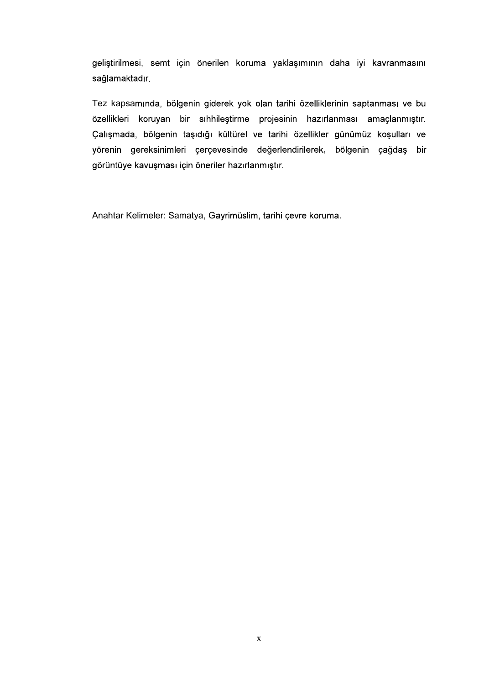geliştirilmesi, semt için önerilen koruma yaklaşımının daha iyi kavranmasını sağlamaktadır.

Tez kapsamında, bölgenin giderek yok olan tarihi özelliklerinin saptanması ve bu özellikleri koruyan bir sıhhileştirme projesinin hazırlanması amaçlanmıştır. Çalışmada, bölgenin taşıdığı kültürel ve tarihi özellikler günümüz koşulları ve yörenin gereksinimleri çerçevesinde değerlendirilerek, bölgenin çağdaş bir görüntüye kavuşması için öneriler hazırlanmıştır.

Anahtar Kelimeler: Samatya, Gayrimüslim, tarihi çevre koruma.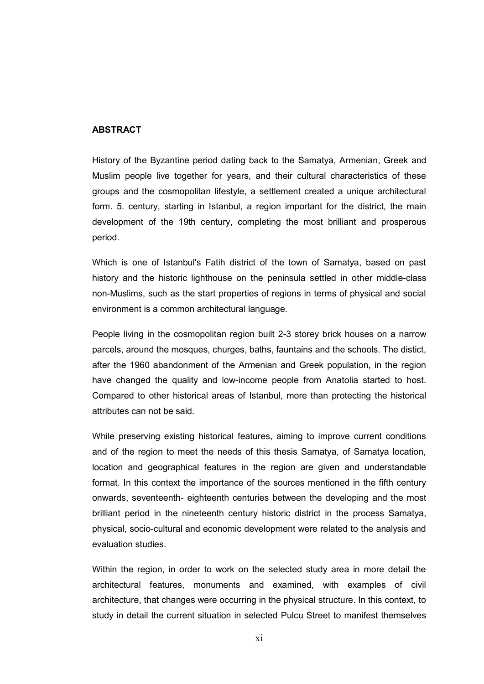## ABSTRACT

History of the Byzantine period dating back to the Samatya, Armenian, Greek and Muslim people live together for years, and their cultural characteristics of these groups and the cosmopolitan lifestyle, a settlement created a unique architectural form. 5. century, starting in Istanbul, a region important for the district, the main development of the 19th century, completing the most brilliant and prosperous period.

Which is one of Istanbul's Fatih district of the town of Samatya, based on past history and the historic lighthouse on the peninsula settled in other middle-class non-Muslims, such as the start properties of regions in terms of physical and social environment is a common architectural language.

People living in the cosmopolitan region built 2-3 storey brick houses on a narrow parcels, around the mosques, churges, baths, fauntains and the schools. The distict, after the 1960 abandonment of the Armenian and Greek population, in the region have changed the quality and low-income people from Anatolia started to host. Compared to other historical areas of Istanbul, more than protecting the historical attributes can not be said.

While preserving existing historical features, aiming to improve current conditions and of the region to meet the needs of this thesis Samatya, of Samatya location, location and geographical features in the region are given and understandable format. In this context the importance of the sources mentioned in the fifth century onwards, seventeenth- eighteenth centuries between the developing and the most brilliant period in the nineteenth century historic district in the process Samatya, physical, socio-cultural and economic development were related to the analysis and evaluation studies.

Within the region, in order to work on the selected study area in more detail the architectural features, monuments and examined, with examples of civil architecture, that changes were occurring in the physical structure. In this context, to study in detail the current situation in selected Pulcu Street to manifest themselves